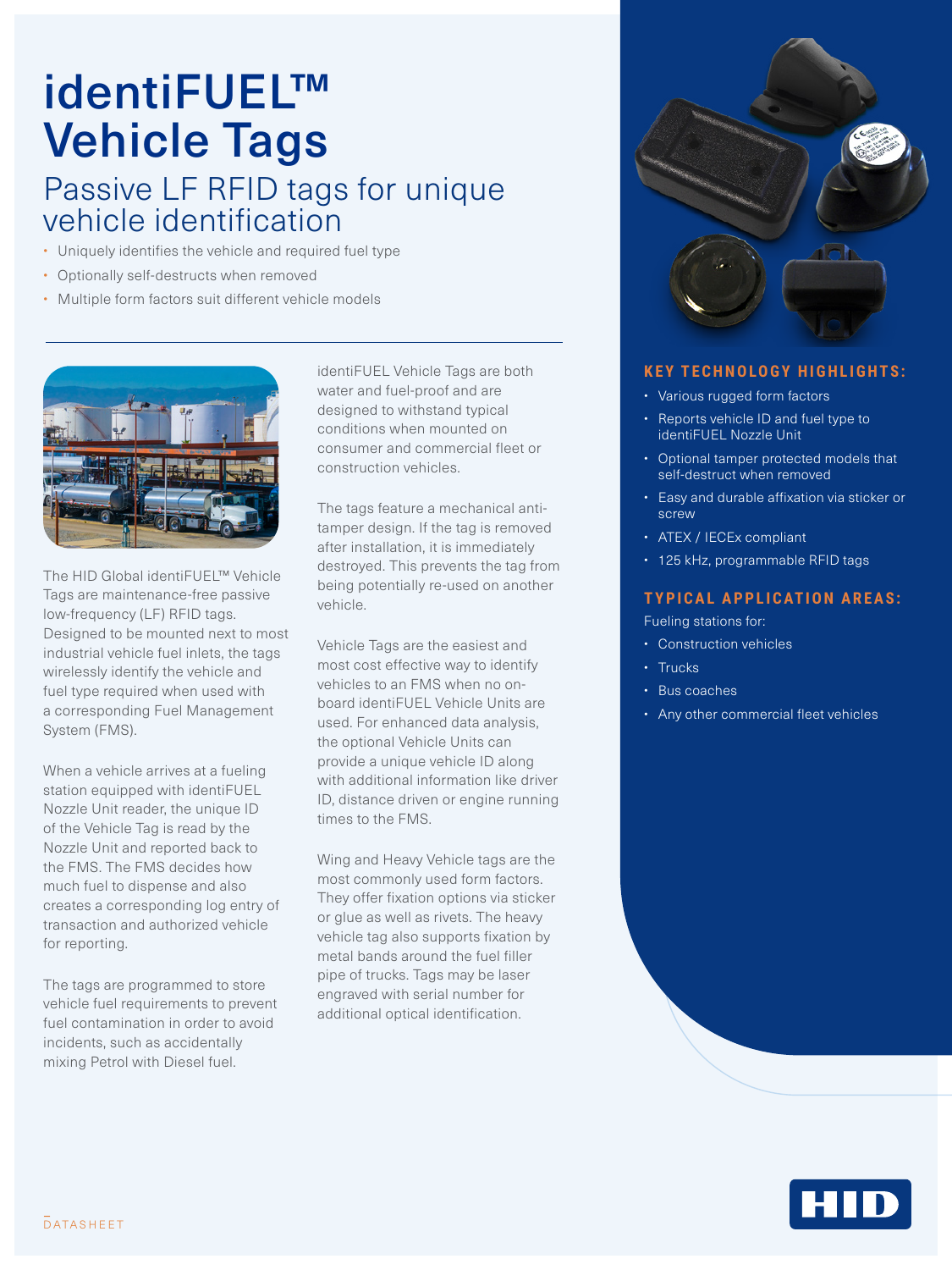## identiFUEL™ Vehicle Tags Passive LF RFID tags for unique

## vehicle identification • Uniquely identifies the vehicle and required fuel type

- 
- Optionally self-destructs when removed
- Multiple form factors suit different vehicle models



The HID Global identiFUEL™ Vehicle Tags are maintenance-free passive low-frequency (LF) RFID tags. Designed to be mounted next to most industrial vehicle fuel inlets, the tags wirelessly identify the vehicle and fuel type required when used with a corresponding Fuel Management System (FMS).

When a vehicle arrives at a fueling station equipped with identiFUEL Nozzle Unit reader, the unique ID of the Vehicle Tag is read by the Nozzle Unit and reported back to the FMS. The FMS decides how much fuel to dispense and also creates a corresponding log entry of transaction and authorized vehicle for reporting.

The tags are programmed to store vehicle fuel requirements to prevent fuel contamination in order to avoid incidents, such as accidentally mixing Petrol with Diesel fuel.

identiFUEL Vehicle Tags are both water and fuel-proof and are designed to withstand typical conditions when mounted on consumer and commercial fleet or construction vehicles.

The tags feature a mechanical antitamper design. If the tag is removed after installation, it is immediately destroyed. This prevents the tag from being potentially re-used on another vehicle.

Vehicle Tags are the easiest and most cost effective way to identify vehicles to an FMS when no onboard identiFUEL Vehicle Units are used. For enhanced data analysis, the optional Vehicle Units can provide a unique vehicle ID along with additional information like driver ID, distance driven or engine running times to the FMS.

Wing and Heavy Vehicle tags are the most commonly used form factors. They offer fixation options via sticker or glue as well as rivets. The heavy vehicle tag also supports fixation by metal bands around the fuel filler pipe of trucks. Tags may be laser engraved with serial number for additional optical identification.



## **KEY TECHNOLOGY HIGHLIGHTS:**

- Various rugged form factors
- Reports vehicle ID and fuel type to identiFUEL Nozzle Unit
- Optional tamper protected models that self-destruct when removed
- Easy and durable affixation via sticker or screw
- ATEX / IECEx compliant
- 125 kHz, programmable RFID tags

## **TYPICAL APPLICATION AREAS:**

Fueling stations for:

- Construction vehicles
- Trucks
- Bus coaches
- Any other commercial fleet vehicles